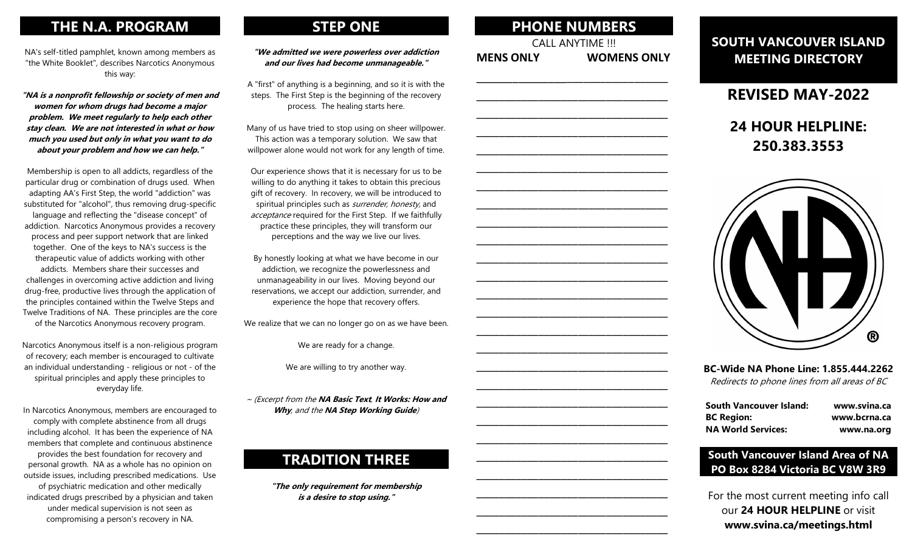# THE N.A. PROGRAM

NA's self-titled pamphlet, known among members as "the White Booklet", describes Narcotics Anonymous this way:

"NA is a nonprofit fellowship or society of men and women for whom drugs had become a major problem. We meet regularly to help each other stay clean. We are not interested in what or how much you used but only in what you want to do about your problem and how we can help."

Membership is open to all addicts, regardless of the particular drug or combination of drugs used. When adapting AA's First Step, the world "addiction" was substituted for "alcohol", thus removing drug-specific language and reflecting the "disease concept" of addiction. Narcotics Anonymous provides a recovery process and peer support network that are linked together. One of the keys to NA's success is the therapeutic value of addicts working with other addicts. Members share their successes and challenges in overcoming active addiction and living drug-free, productive lives through the application of the principles contained within the Twelve Steps and Twelve Traditions of NA. These principles are the core of the Narcotics Anonymous recovery program.

Narcotics Anonymous itself is a non-religious program of recovery; each member is encouraged to cultivate an individual understanding - religious or not - of the spiritual principles and apply these principles to everyday life.

In Narcotics Anonymous, members are encouraged to comply with complete abstinence from all drugs including alcohol. It has been the experience of NA members that complete and continuous abstinence provides the best foundation for recovery and personal growth. NA as a whole has no opinion on outside issues, including prescribed medications. Use of psychiatric medication and other medically indicated drugs prescribed by a physician and taken under medical supervision is not seen as compromising a person's recovery in NA.

# STEP ONE

#### "We admitted we were powerless over addiction and our lives had become unmanageable."

A "first" of anything is a beginning, and so it is with the steps. The First Step is the beginning of the recovery process. The healing starts here.

Many of us have tried to stop using on sheer willpower. This action was a temporary solution. We saw that willpower alone would not work for any length of time.

Our experience shows that it is necessary for us to be willing to do anything it takes to obtain this precious gift of recovery. In recovery, we will be introduced to spiritual principles such as *surrender, honesty*, and acceptance required for the First Step. If we faithfully practice these principles, they will transform our perceptions and the way we live our lives.

By honestly looking at what we have become in our addiction, we recognize the powerlessness and unmanageability in our lives. Moving beyond our reservations, we accept our addiction, surrender, and experience the hope that recovery offers.

We realize that we can no longer go on as we have been.

We are ready for a change.

We are willing to try another way.

~ (Excerpt from the NA Basic Text, It Works: How and Why, and the NA Step Working Guide)

# TRADITION THREE

"The only requirement for membership is a desire to stop using."

| <b>PHONE NUMBERS</b><br><b>CALL ANYTIME !!!</b>  |                    |  |
|--------------------------------------------------|--------------------|--|
| <b>MENS ONLY</b>                                 | <b>WOMENS ONLY</b> |  |
| the control of the control of the control of the |                    |  |
|                                                  |                    |  |
|                                                  |                    |  |
|                                                  |                    |  |
|                                                  |                    |  |
|                                                  |                    |  |
|                                                  |                    |  |
|                                                  |                    |  |
|                                                  |                    |  |
|                                                  |                    |  |
|                                                  |                    |  |
|                                                  |                    |  |

\_\_\_\_\_\_\_\_\_\_\_\_\_\_\_\_\_\_\_\_\_\_\_\_\_\_\_\_\_\_\_\_\_\_ \_\_\_\_\_\_\_\_\_\_\_\_\_\_\_\_\_\_\_\_\_\_\_\_\_\_\_\_\_\_\_\_\_\_

\_\_\_\_\_\_\_\_\_\_\_\_\_\_\_\_\_\_\_\_\_\_\_\_\_\_\_\_\_\_\_\_\_\_ \_\_\_\_\_\_\_\_\_\_\_\_\_\_\_\_\_\_\_\_\_\_\_\_\_\_\_\_\_\_\_\_\_\_ \_\_\_\_\_\_\_\_\_\_\_\_\_\_\_\_\_\_\_\_\_\_\_\_\_\_\_\_\_\_\_\_\_\_

\_\_\_\_\_\_\_\_\_\_\_\_\_\_\_\_\_\_\_\_\_\_\_\_\_\_\_\_\_\_\_\_\_\_ \_\_\_\_\_\_\_\_\_\_\_\_\_\_\_\_\_\_\_\_\_\_\_\_\_\_\_\_\_\_\_\_\_\_ \_\_\_\_\_\_\_\_\_\_\_\_\_\_\_\_\_\_\_\_\_\_\_\_\_\_\_\_\_\_\_\_\_\_ \_\_\_\_\_\_\_\_\_\_\_\_\_\_\_\_\_\_\_\_\_\_\_\_\_\_\_\_\_\_\_\_\_\_

\_\_\_\_\_\_\_\_\_\_\_\_\_\_\_\_\_\_\_\_\_\_\_\_\_\_\_\_\_\_\_\_\_\_ \_\_\_\_\_\_\_\_\_\_\_\_\_\_\_\_\_\_\_\_\_\_\_\_\_\_\_\_\_\_\_\_\_\_ \_\_\_\_\_\_\_\_\_\_\_\_\_\_\_\_\_\_\_\_\_\_\_\_\_\_\_\_\_\_\_\_\_\_

# SOUTH VANCOUVER ISLAND MEETING DIRECTORY

REVISED MAY-2022

# 24 HOUR HELPLINE: 250.383.3553



## BC-Wide NA Phone Line: 1.855.444.2262 Redirects to phone lines from all areas of BC

| <b>South Vancouver Island:</b> | www.svina.ca |
|--------------------------------|--------------|
| <b>BC Region:</b>              | www.bcrna.ca |
| <b>NA World Services:</b>      | www.na.org   |

## South Vancouver Island Area of NA PO Box 8284 Victoria BC V8W 3R9

For the most current meeting info call our 24 HOUR HELPLINE or visit www.svina.ca/meetings.html